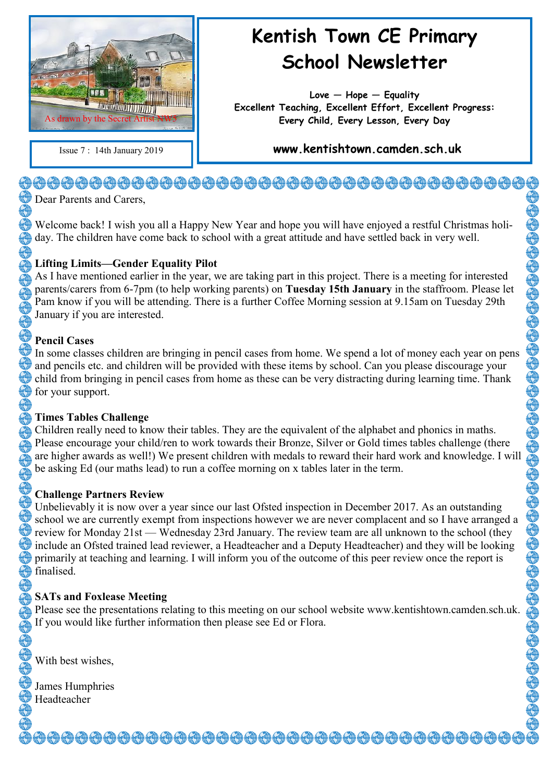

# **Kentish Town CE Primary School Newsletter**

**Love — Hope — Equality Excellent Teaching, Excellent Effort, Excellent Progress: Every Child, Every Lesson, Every Day**

Issue 7 : 14th January 2019 **www.kentishtown.camden.sch.uk** 

# <del>�</del>���������������������������������

Dear Parents and Carers,

Welcome back! I wish you all a Happy New Year and hope you will have enjoyed a restful Christmas holiday. The children have come back to school with a great attitude and have settled back in very well.

#### **Lifting Limits—Gender Equality Pilot**

As I have mentioned earlier in the year, we are taking part in this project. There is a meeting for interested parents/carers from 6-7pm (to help working parents) on **Tuesday 15th January** in the staffroom. Please let Pam know if you will be attending. There is a further Coffee Morning session at 9.15am on Tuesday 29th January if you are interested.

#### **Pencil Cases**

In some classes children are bringing in pencil cases from home. We spend a lot of money each year on pens and pencils etc. and children will be provided with these items by school. Can you please discourage your child from bringing in pencil cases from home as these can be very distracting during learning time. Thank for your support.

#### **Times Tables Challenge**

Children really need to know their tables. They are the equivalent of the alphabet and phonics in maths. Please encourage your child/ren to work towards their Bronze, Silver or Gold times tables challenge (there are higher awards as well!) We present children with medals to reward their hard work and knowledge. I will be asking Ed (our maths lead) to run a coffee morning on x tables later in the term.

#### **Challenge Partners Review**

Unbelievably it is now over a year since our last Ofsted inspection in December 2017. As an outstanding school we are currently exempt from inspections however we are never complacent and so I have arranged a review for Monday 21st — Wednesday 23rd January. The review team are all unknown to the school (they include an Ofsted trained lead reviewer, a Headteacher and a Deputy Headteacher) and they will be looking primarily at teaching and learning. I will inform you of the outcome of this peer review once the report is finalised.

### **SATs and Foxlease Meeting**

Please see the presentations relating to this meeting on our school website www.kentishtown.camden.sch.uk. If you would like further information then please see Ed or Flora.

With best wishes,

James Humphries Headteacher